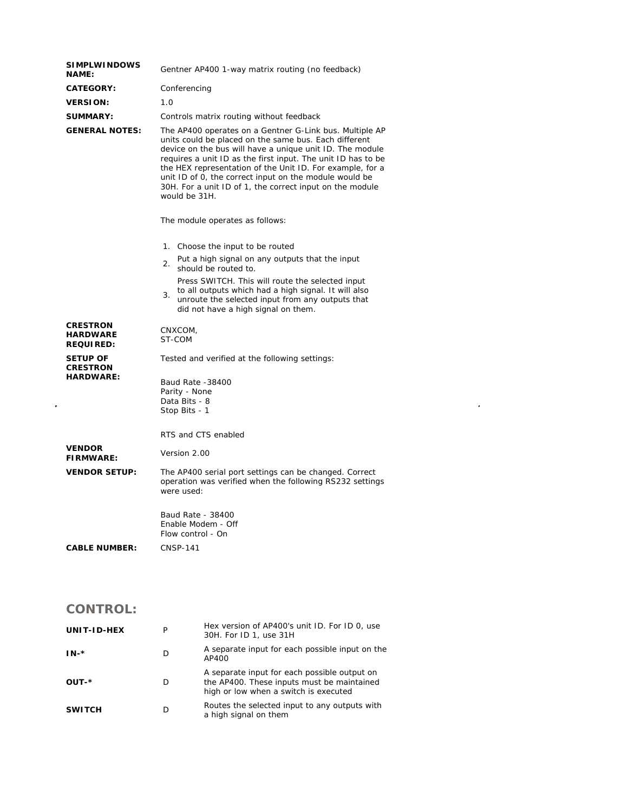| <b>SIMPLWINDOWS</b><br><b>NAME:</b>                    | Gentner AP400 1-way matrix routing (no feedback)                                                                                                                                                                                                                                                                                                                                                                                                 |  |
|--------------------------------------------------------|--------------------------------------------------------------------------------------------------------------------------------------------------------------------------------------------------------------------------------------------------------------------------------------------------------------------------------------------------------------------------------------------------------------------------------------------------|--|
| <b>CATEGORY:</b>                                       | Conferencing                                                                                                                                                                                                                                                                                                                                                                                                                                     |  |
| <b>VERSION:</b>                                        | 1.0                                                                                                                                                                                                                                                                                                                                                                                                                                              |  |
| <b>SUMMARY:</b>                                        | Controls matrix routing without feedback                                                                                                                                                                                                                                                                                                                                                                                                         |  |
| <b>GENERAL NOTES:</b>                                  | The AP400 operates on a Gentner G-Link bus. Multiple AP<br>units could be placed on the same bus. Each different<br>device on the bus will have a unique unit ID. The module<br>requires a unit ID as the first input. The unit ID has to be<br>the HEX representation of the Unit ID. For example, for a<br>unit ID of 0, the correct input on the module would be<br>30H. For a unit ID of 1, the correct input on the module<br>would be 31H. |  |
|                                                        | The module operates as follows:                                                                                                                                                                                                                                                                                                                                                                                                                  |  |
|                                                        | 1. Choose the input to be routed                                                                                                                                                                                                                                                                                                                                                                                                                 |  |
|                                                        | Put a high signal on any outputs that the input<br>2.<br>should be routed to.                                                                                                                                                                                                                                                                                                                                                                    |  |
|                                                        | Press SWITCH. This will route the selected input<br>to all outputs which had a high signal. It will also<br>3.<br>unroute the selected input from any outputs that<br>did not have a high signal on them.                                                                                                                                                                                                                                        |  |
| <b>CRESTRON</b><br><b>HARDWARE</b><br><b>REQUIRED:</b> | CNXCOM,<br>ST-COM                                                                                                                                                                                                                                                                                                                                                                                                                                |  |
| <b>SETUP OF</b><br><b>CRESTRON</b>                     | Tested and verified at the following settings:                                                                                                                                                                                                                                                                                                                                                                                                   |  |
| <b>HARDWARE:</b>                                       | <b>Baud Rate -38400</b><br>Parity - None<br>Data Bits - 8<br>Stop Bits - 1                                                                                                                                                                                                                                                                                                                                                                       |  |
|                                                        | RTS and CTS enabled                                                                                                                                                                                                                                                                                                                                                                                                                              |  |
| <b>VENDOR</b><br><b>FIRMWARE:</b>                      | Version 2.00                                                                                                                                                                                                                                                                                                                                                                                                                                     |  |
| <b>VENDOR SETUP:</b>                                   | The AP400 serial port settings can be changed. Correct<br>operation was verified when the following RS232 settings<br>were used:                                                                                                                                                                                                                                                                                                                 |  |
|                                                        | Baud Rate - 38400<br>Enable Modem - Off<br>Flow control - On                                                                                                                                                                                                                                                                                                                                                                                     |  |
| <b>CABLE NUMBER:</b>                                   | <b>CNSP-141</b>                                                                                                                                                                                                                                                                                                                                                                                                                                  |  |

## **CONTROL:**

| UNIT-ID-HEX   | P | Hex version of AP400's unit ID. For ID 0, use<br>30H. For ID 1, use 31H                                                             |
|---------------|---|-------------------------------------------------------------------------------------------------------------------------------------|
| $IN.*$        | D | A separate input for each possible input on the<br>AP400                                                                            |
| OUT-*         | D | A separate input for each possible output on<br>the AP400. These inputs must be maintained<br>high or low when a switch is executed |
| <b>SWITCH</b> |   | Routes the selected input to any outputs with<br>a high signal on them                                                              |